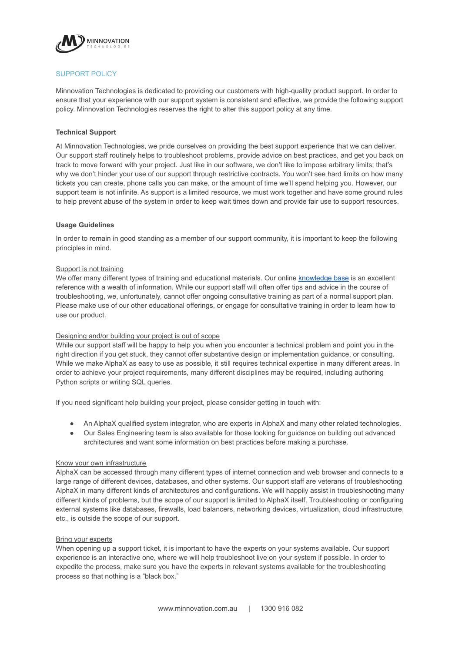

# SUPPORT POLICY

Minnovation Technologies is dedicated to providing our customers with high-quality product support. In order to ensure that your experience with our support system is consistent and effective, we provide the following support policy. Minnovation Technologies reserves the right to alter this support policy at any time.

# **Technical Support**

At Minnovation Technologies, we pride ourselves on providing the best support experience that we can deliver. Our support staff routinely helps to troubleshoot problems, provide advice on best practices, and get you back on track to move forward with your project. Just like in our software, we don't like to impose arbitrary limits; that's why we don't hinder your use of our support through restrictive contracts. You won't see hard limits on how many tickets you can create, phone calls you can make, or the amount of time we'll spend helping you. However, our support team is not infinite. As support is a limited resource, we must work together and have some ground rules to help prevent abuse of the system in order to keep wait times down and provide fair use to support resources.

## **Usage Guidelines**

In order to remain in good standing as a member of our support community, it is important to keep the following principles in mind.

## Support is not training

We offer many different types of training and educational materials. Our online [knowledge base](https://knowledge.minnovation.com.au) is an excellent reference with a wealth of information. While our support staff will often offer tips and advice in the course of troubleshooting, we, unfortunately, cannot offer ongoing consultative training as part of a normal support plan. Please make use of our other educational offerings, or engage for consultative training in order to learn how to use our product.

# Designing and/or building your project is out of scope

While our support staff will be happy to help you when you encounter a technical problem and point you in the right direction if you get stuck, they cannot offer substantive design or implementation guidance, or consulting. While we make AlphaX as easy to use as possible, it still requires technical expertise in many different areas. In order to achieve your project requirements, many different disciplines may be required, including authoring Python scripts or writing SQL queries.

If you need significant help building your project, please consider getting in touch with:

- An AlphaX qualified system integrator, who are experts in AlphaX and many other related technologies.
- Our Sales Engineering team is also available for those looking for guidance on building out advanced architectures and want some information on best practices before making a purchase.

## Know your own infrastructure

AlphaX can be accessed through many different types of internet connection and web browser and connects to a large range of different devices, databases, and other systems. Our support staff are veterans of troubleshooting AlphaX in many different kinds of architectures and configurations. We will happily assist in troubleshooting many different kinds of problems, but the scope of our support is limited to AlphaX itself. Troubleshooting or configuring external systems like databases, firewalls, load balancers, networking devices, virtualization, cloud infrastructure, etc., is outside the scope of our support.

#### Bring your experts

When opening up a support ticket, it is important to have the experts on your systems available. Our support experience is an interactive one, where we will help troubleshoot live on your system if possible. In order to expedite the process, make sure you have the experts in relevant systems available for the troubleshooting process so that nothing is a "black box."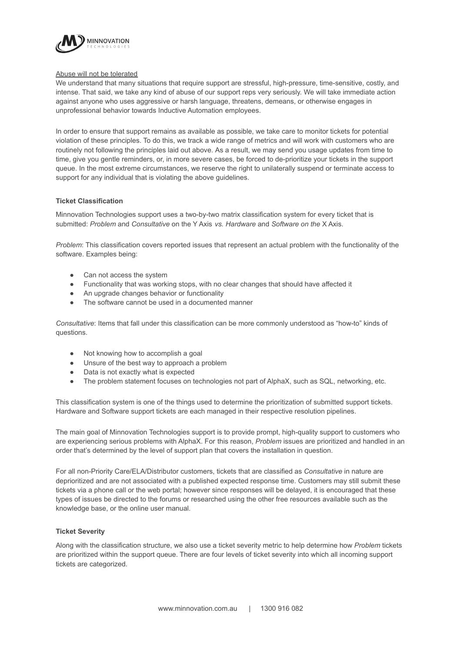

#### Abuse will not be tolerated

We understand that many situations that require support are stressful, high-pressure, time-sensitive, costly, and intense. That said, we take any kind of abuse of our support reps very seriously. We will take immediate action against anyone who uses aggressive or harsh language, threatens, demeans, or otherwise engages in unprofessional behavior towards Inductive Automation employees.

In order to ensure that support remains as available as possible, we take care to monitor tickets for potential violation of these principles. To do this, we track a wide range of metrics and will work with customers who are routinely not following the principles laid out above. As a result, we may send you usage updates from time to time, give you gentle reminders, or, in more severe cases, be forced to de-prioritize your tickets in the support queue. In the most extreme circumstances, we reserve the right to unilaterally suspend or terminate access to support for any individual that is violating the above guidelines.

# **Ticket Classification**

Minnovation Technologies support uses a two-by-two matrix classification system for every ticket that is submitted: *Problem* and *Consultative* on the Y Axis *vs. Hardware* and *Software on the* X Axis.

*Problem*: This classification covers reported issues that represent an actual problem with the functionality of the software. Examples being:

- Can not access the system
- Functionality that was working stops, with no clear changes that should have affected it
- An upgrade changes behavior or functionality
- The software cannot be used in a documented manner

*Consultative*: Items that fall under this classification can be more commonly understood as "how-to" kinds of questions.

- Not knowing how to accomplish a goal
- Unsure of the best way to approach a problem
- Data is not exactly what is expected
- The problem statement focuses on technologies not part of AlphaX, such as SQL, networking, etc.

This classification system is one of the things used to determine the prioritization of submitted support tickets. Hardware and Software support tickets are each managed in their respective resolution pipelines.

The main goal of Minnovation Technologies support is to provide prompt, high-quality support to customers who are experiencing serious problems with AlphaX. For this reason, *Problem* issues are prioritized and handled in an order that's determined by the level of support plan that covers the installation in question.

For all non-Priority Care/ELA/Distributor customers, tickets that are classified as *Consultative* in nature are deprioritized and are not associated with a published expected response time. Customers may still submit these tickets via a phone call or the web portal; however since responses will be delayed, it is encouraged that these types of issues be directed to the forums or researched using the other free resources available such as the knowledge base, or the online [user manual.](https://docs.inductiveautomation.com/)

## **Ticket Severity**

Along with the classification structure, we also use a ticket severity metric to help determine how *Problem* tickets are prioritized within the support queue. There are four levels of ticket severity into which all incoming support tickets are categorized.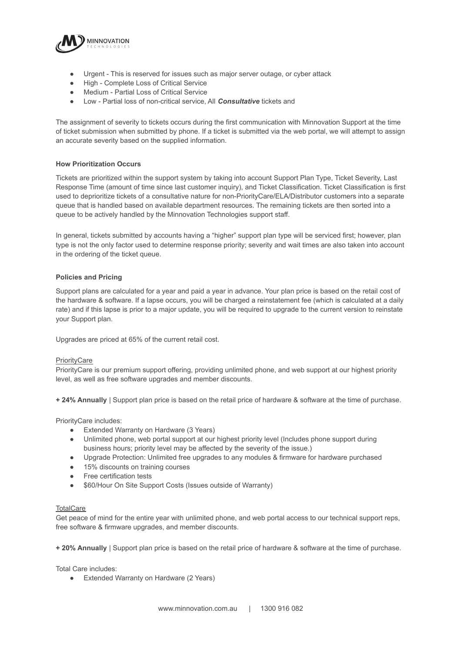

- Urgent This is reserved for issues such as major server outage, or cyber attack
- High Complete Loss of Critical Service
- Medium Partial Loss of Critical Service
- Low Partial loss of non-critical service, All *Consultative* tickets and

The assignment of severity to tickets occurs during the first communication with Minnovation Support at the time of ticket submission when submitted by phone. If a ticket is submitted via the web portal, we will attempt to assign an accurate severity based on the supplied information.

#### **How Prioritization Occurs**

Tickets are prioritized within the support system by taking into account Support Plan Type, Ticket Severity, Last Response Time (amount of time since last customer inquiry), and Ticket Classification. Ticket Classification is first used to deprioritize tickets of a consultative nature for non-PriorityCare/ELA/Distributor customers into a separate queue that is handled based on available department resources. The remaining tickets are then sorted into a queue to be actively handled by the Minnovation Technologies support staff.

In general, tickets submitted by accounts having a "higher" support plan type will be serviced first; however, plan type is not the only factor used to determine response priority; severity and wait times are also taken into account in the ordering of the ticket queue.

## **Policies and Pricing**

Support plans are calculated for a year and paid a year in advance. Your plan price is based on the retail cost of the hardware & software. If a lapse occurs, you will be charged a reinstatement fee (which is calculated at a daily rate) and if this lapse is prior to a major update, you will be required to upgrade to the current version to reinstate your Support plan.

Upgrades are priced at 65% of the current retail cost.

#### **PriorityCare**

PriorityCare is our premium support offering, providing unlimited phone, and web support at our highest priority level, as well as free software upgrades and member discounts.

**+ 24% Annually** | Support plan price is based on the retail price of hardware & software at the time of purchase.

PriorityCare includes:

- Extended Warranty on Hardware (3 Years)
- Unlimited phone, web portal support at our highest priority level (Includes phone support during business hours; priority level may be affected by the severity of the issue.)
- Upgrade Protection: Unlimited free upgrades to any modules & firmware for hardware purchased
- 15% discounts on training courses
- Free certification tests
- \$60/Hour On Site Support Costs (Issues outside of Warranty)

## **TotalCare**

Get peace of mind for the entire year with unlimited phone, and web portal access to our technical support reps, free software & firmware upgrades, and member discounts.

**+ 20% Annually** | Support plan price is based on the retail price of hardware & software at the time of purchase.

Total Care includes:

● Extended Warranty on Hardware (2 Years)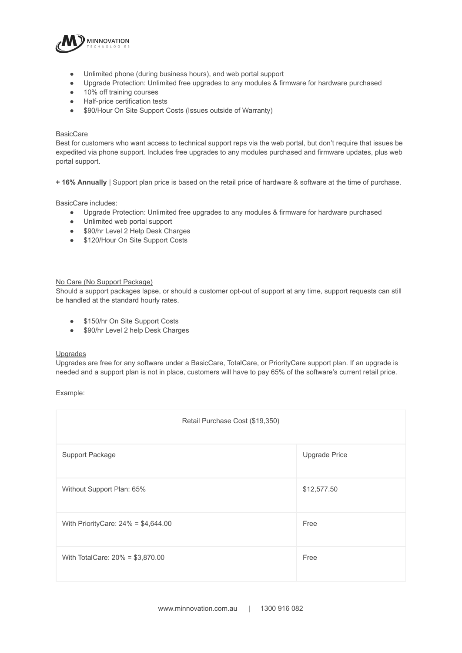

- Unlimited phone (during business hours), and web portal support
- Upgrade Protection: Unlimited free upgrades to any modules & firmware for hardware purchased
- 10% off training courses
- Half-price certification tests
- \$90/Hour On Site Support Costs (Issues outside of Warranty)

#### BasicCare

Best for customers who want access to technical support reps via the web portal, but don't require that issues be expedited via phone support. Includes free upgrades to any modules purchased and firmware updates, plus web portal support.

**+ 16% Annually** | Support plan price is based on the retail price of hardware & software at the time of purchase.

#### BasicCare includes:

- Upgrade Protection: Unlimited free upgrades to any modules & firmware for hardware purchased
- Unlimited web portal support
- \$90/hr Level 2 Help Desk Charges
- \$120/Hour On Site Support Costs

#### No Care (No Support Package)

Should a support packages lapse, or should a customer opt-out of support at any time, support requests can still be handled at the standard hourly rates.

- \$150/hr On Site Support Costs
- \$90/hr Level 2 help Desk Charges

# Upgrades

Upgrades are free for any software under a BasicCare, TotalCare, or PriorityCare support plan. If an upgrade is needed and a support plan is not in place, customers will have to pay 65% of the software's current retail price.

Example:

| Retail Purchase Cost (\$19,350)       |               |
|---------------------------------------|---------------|
| Support Package                       | Upgrade Price |
| Without Support Plan: 65%             | \$12,577.50   |
| With PriorityCare: $24\% = $4,644.00$ | Free          |
| With TotalCare: 20% = \$3,870.00      | Free          |